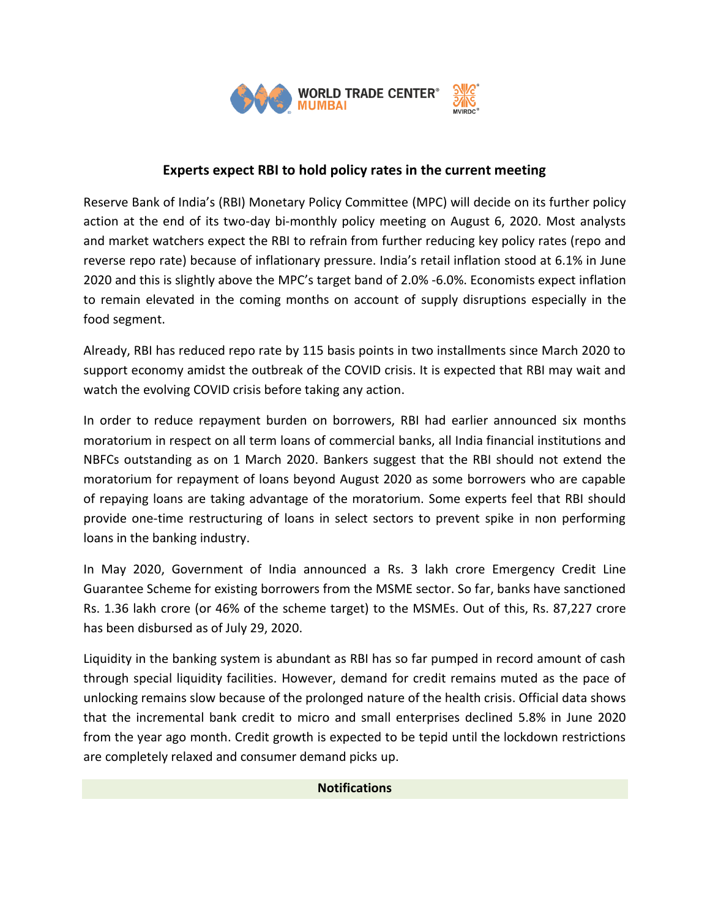

## **Experts expect RBI to hold policy rates in the current meeting**

Reserve Bank of India's (RBI) Monetary Policy Committee (MPC) will decide on its further policy action at the end of its two-day bi-monthly policy meeting on August 6, 2020. Most analysts and market watchers expect the RBI to refrain from further reducing key policy rates (repo and reverse repo rate) because of inflationary pressure. India's retail inflation stood at 6.1% in June 2020 and this is slightly above the MPC's target band of 2.0% -6.0%. Economists expect inflation to remain elevated in the coming months on account of supply disruptions especially in the food segment.

Already, RBI has reduced repo rate by 115 basis points in two installments since March 2020 to support economy amidst the outbreak of the COVID crisis. It is expected that RBI may wait and watch the evolving COVID crisis before taking any action.

In order to reduce repayment burden on borrowers, RBI had earlier announced six months moratorium in respect on all term loans of commercial banks, all India financial institutions and NBFCs outstanding as on 1 March 2020. Bankers suggest that the RBI should not extend the moratorium for repayment of loans beyond August 2020 as some borrowers who are capable of repaying loans are taking advantage of the moratorium. Some experts feel that RBI should provide one-time restructuring of loans in select sectors to prevent spike in non performing loans in the banking industry.

In May 2020, Government of India announced a Rs. 3 lakh crore Emergency Credit Line Guarantee Scheme for existing borrowers from the MSME sector. So far, banks have sanctioned Rs. 1.36 lakh crore (or 46% of the scheme target) to the MSMEs. Out of this, Rs. 87,227 crore has been disbursed as of July 29, 2020.

Liquidity in the banking system is abundant as RBI has so far pumped in record amount of cash through special liquidity facilities. However, demand for credit remains muted as the pace of unlocking remains slow because of the prolonged nature of the health crisis. Official data shows that the incremental bank credit to micro and small enterprises declined 5.8% in June 2020 from the year ago month. Credit growth is expected to be tepid until the lockdown restrictions are completely relaxed and consumer demand picks up.

## **Notifications**